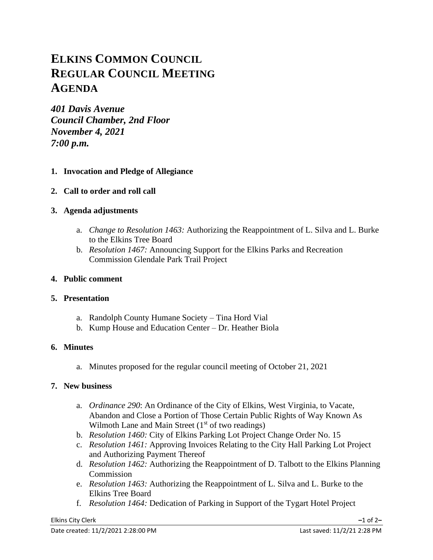# **ELKINS COMMON COUNCIL REGULAR COUNCIL MEETING AGENDA**

*401 Davis Avenue Council Chamber, 2nd Floor November 4, 2021 7:00 p.m.*

## **1. Invocation and Pledge of Allegiance**

**2. Call to order and roll call**

## **3. Agenda adjustments**

- a. *Change to Resolution 1463:* Authorizing the Reappointment of L. Silva and L. Burke to the Elkins Tree Board
- b. *Resolution 1467:* Announcing Support for the Elkins Parks and Recreation Commission Glendale Park Trail Project

## **4. Public comment**

## **5. Presentation**

- a. Randolph County Humane Society Tina Hord Vial
- b. Kump House and Education Center Dr. Heather Biola

## **6. Minutes**

a. Minutes proposed for the regular council meeting of October 21, 2021

## **7. New business**

- a. *Ordinance 290*: An Ordinance of the City of Elkins, West Virginia, to Vacate, Abandon and Close a Portion of Those Certain Public Rights of Way Known As Wilmoth Lane and Main Street  $(1<sup>st</sup>$  of two readings)
- b. *Resolution 1460:* City of Elkins Parking Lot Project Change Order No. 15
- c. *Resolution 1461:* Approving Invoices Relating to the City Hall Parking Lot Project and Authorizing Payment Thereof
- d. *Resolution 1462:* Authorizing the Reappointment of D. Talbott to the Elkins Planning Commission
- e. *Resolution 1463:* Authorizing the Reappointment of L. Silva and L. Burke to the Elkins Tree Board
- f. *Resolution 1464:* Dedication of Parking in Support of the Tygart Hotel Project

#### Elkins City Clerk **–**1 of 2**–**